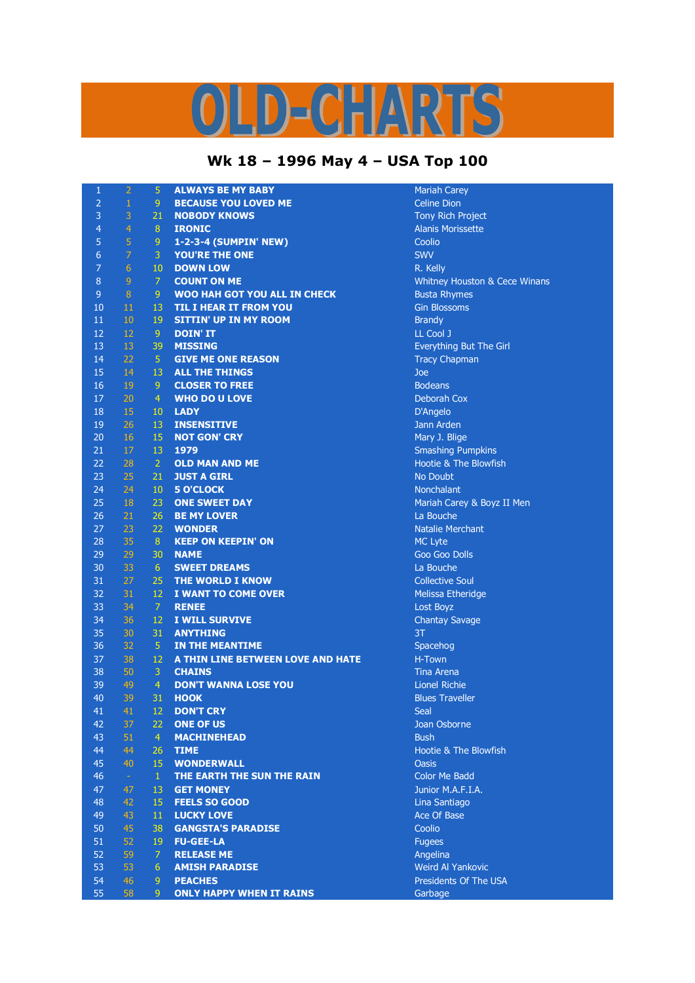## D-CHARTS L,

## **Wk 18 – 1996 May 4 – USA Top 100**

| $\mathbf{1}$   | $\overline{2}$ | 5               | <b>ALWAYS BE MY BABY</b>                      | <b>Mariah Carey</b>                      |
|----------------|----------------|-----------------|-----------------------------------------------|------------------------------------------|
| $\overline{2}$ | $\,1\,$        | 9               | <b>BECAUSE YOU LOVED ME</b>                   | <b>Celine Dion</b>                       |
| 3              | 3              | 21              | <b>NOBODY KNOWS</b>                           | <b>Tony Rich Project</b>                 |
| $\overline{4}$ | 4              | 8               | <b>IRONIC</b>                                 | <b>Alanis Morissette</b>                 |
| 5              | 5              | $\overline{9}$  | 1-2-3-4 (SUMPIN' NEW)                         | Coolio                                   |
| 6              | $\overline{7}$ | 3               | <b>YOU'RE THE ONE</b>                         | <b>SWV</b>                               |
| $\overline{7}$ | 6              | 10              | <b>DOWN LOW</b>                               | R. Kelly                                 |
| 8              | $9\,$          | $\overline{7}$  | <b>COUNT ON ME</b>                            | <b>Whitney Houston &amp; Cece Winans</b> |
| 9              | $\, 8$         | $\overline{9}$  | <b>WOO HAH GOT YOU ALL IN CHECK</b>           | <b>Busta Rhymes</b>                      |
| 10             | 11             | 13              | <b>TIL I HEAR IT FROM YOU</b>                 | <b>Gin Blossoms</b>                      |
| 11             | 10             | 19              | <b>SITTIN' UP IN MY ROOM</b>                  | <b>Brandy</b>                            |
| 12             | 12             | 9               | <b>DOIN' IT</b>                               | LL Cool J                                |
| 13             | 13             | 39              | <b>MISSING</b>                                | Everything But The Girl                  |
| 14             | 22             | 5 <sub>1</sub>  | <b>GIVE ME ONE REASON</b>                     | <b>Tracy Chapman</b>                     |
| 15             | 14             | 13              | <b>ALL THE THINGS</b>                         | Joe                                      |
| 16             | 19             | 9 <sup>°</sup>  | <b>CLOSER TO FREE</b>                         | <b>Bodeans</b>                           |
| 17             | 20             | $\overline{4}$  | <b>WHO DO U LOVE</b>                          | Deborah Cox                              |
| 18             | 15             | 10              | <b>LADY</b>                                   | D'Angelo                                 |
| 19             | 26             | 13              | <b>INSENSITIVE</b>                            | Jann Arden                               |
| 20             | 16             | 15              | <b>NOT GON' CRY</b>                           | Mary J. Blige                            |
| 21             | 17             | 13              | 1979                                          | <b>Smashing Pumpkins</b>                 |
| 22             | 28             | $\overline{2}$  | <b>OLD MAN AND ME</b>                         | Hootie & The Blowfish                    |
| 23             | 25             | 21              | <b>JUST A GIRL</b>                            | No Doubt                                 |
| 24             | 24             | 10 <sup>°</sup> | <b>5 O'CLOCK</b>                              | <b>Nonchalant</b>                        |
| 25             | 18             | 23              | <b>ONE SWEET DAY</b>                          | Mariah Carey & Boyz II Men               |
| 26             | 21             | 26              | <b>BE MY LOVER</b>                            | La Bouche                                |
| 27             | 23             | 22              | <b>WONDER</b>                                 | <b>Natalie Merchant</b>                  |
| 28             | 35             | 8 <sup>°</sup>  | <b>KEEP ON KEEPIN' ON</b>                     | MC Lyte                                  |
| 29             | 29             | 30              | <b>NAME</b>                                   | <b>Goo Goo Dolls</b>                     |
| 30             | 33             | 6 <sup>1</sup>  | <b>SWEET DREAMS</b>                           | La Bouche                                |
| 31             | 27             | 25              | <b>THE WORLD I KNOW</b>                       | <b>Collective Soul</b>                   |
| 32             | 31             | 12              | I WANT TO COME OVER                           | Melissa Etheridge                        |
| 33             | 34             | $\mathcal{I}$   | <b>RENEE</b>                                  | Lost Boyz                                |
| 34             | 36             | 12              | I WILL SURVIVE                                | <b>Chantay Savage</b>                    |
| 35             | 30             | 31              | <b>ANYTHING</b>                               | 3T                                       |
| 36             | 32             | 5               | <b>IN THE MEANTIME</b>                        | Spacehog                                 |
| 37             | 38             | 12              | A THIN LINE BETWEEN LOVE AND HATE             | H-Town                                   |
| 38             | 50             | 3               | <b>CHAINS</b>                                 | <b>Tina Arena</b>                        |
| 39             | 49             | $\overline{4}$  | <b>DON'T WANNA LOSE YOU</b>                   | <b>Lionel Richie</b>                     |
| 40             | 39             | 31              | <b>HOOK</b>                                   | <b>Blues Traveller</b>                   |
| 41             | 41             | 12              | <b>DON'T CRY</b>                              | <b>Seal</b>                              |
| 42             | 37             | 22              | <b>ONE OF US</b>                              | Joan Osborne                             |
| 43             | 51             | $\overline{4}$  | <b>MACHINEHEAD</b>                            | <b>Bush</b>                              |
| 44             | 44             | 26              | <b>TIME</b>                                   | Hootie & The Blowfish                    |
| 45             | 40             | 15              | <b>WONDERWALL</b>                             | <b>Oasis</b>                             |
| 46             | $\sim$         | $\mathbf{1}$    | THE EARTH THE SUN THE RAIN                    | <b>Color Me Badd</b>                     |
| 47             | 47             | 13              | <b>GET MONEY</b>                              | Junior M.A.F.I.A.                        |
| 48             | 42             | 15              | <b>FEELS SO GOOD</b>                          | Lina Santiago<br>Ace Of Base             |
| 49             | 43             | 11              | <b>LUCKY LOVE</b>                             |                                          |
| 50<br>51       | 45<br>52       | 38<br>19        | <b>GANGSTA'S PARADISE</b><br><b>FU-GEE-LA</b> | Coolio                                   |
| 52             | 59             | $\overline{7}$  |                                               | <b>Fugees</b>                            |
|                |                |                 | <b>RELEASE ME</b>                             | Angelina                                 |
| 53<br>54       | 53             | 6               | <b>AMISH PARADISE</b>                         | Weird Al Yankovic                        |
|                | 46             | 9               | <b>PEACHES</b>                                | Presidents Of The USA                    |
| 55             | 58             | 9               | <b>ONLY HAPPY WHEN IT RAINS</b>               | Garbage                                  |